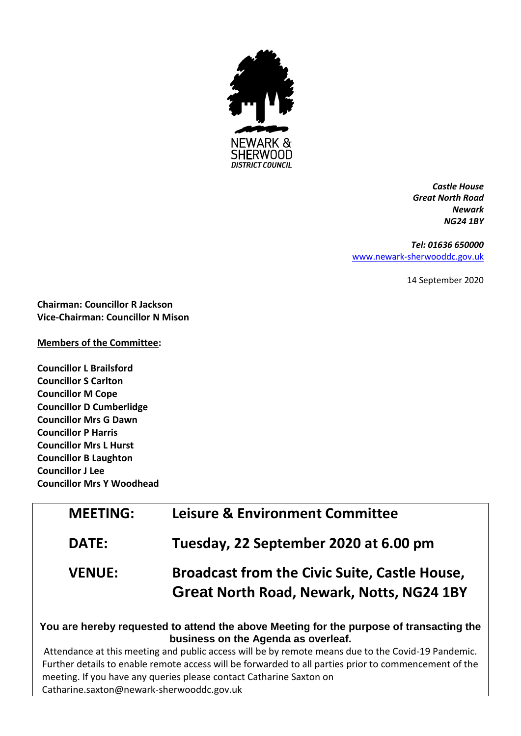

*Castle House Great North Road Newark NG24 1BY*

#### *Tel: 01636 650000*

[www.newark-sherwooddc.gov.uk](http://www.newark-sherwooddc.gov.uk/)

14 September 2020

**Chairman: Councillor R Jackson Vice-Chairman: Councillor N Mison**

### **Members of the Committee:**

**Councillor L Brailsford Councillor S Carlton Councillor M Cope Councillor D Cumberlidge Councillor Mrs G Dawn Councillor P Harris Councillor Mrs L Hurst Councillor B Laughton Councillor J Lee Councillor Mrs Y Woodhead**

| <b>MEETING:</b> | <b>Leisure &amp; Environment Committee</b>                                                               |
|-----------------|----------------------------------------------------------------------------------------------------------|
| <b>DATE:</b>    | Tuesday, 22 September 2020 at 6.00 pm                                                                    |
| <b>VENUE:</b>   | <b>Broadcast from the Civic Suite, Castle House,</b><br><b>Great North Road, Newark, Notts, NG24 1BY</b> |

# **You are hereby requested to attend the above Meeting for the purpose of transacting the business on the Agenda as overleaf.**

Attendance at this meeting and public access will be by remote means due to the Covid-19 Pandemic. Further details to enable remote access will be forwarded to all parties prior to commencement of the meeting. If you have any queries please contact Catharine Saxton on Catharine.saxton@newark-sherwooddc.gov.uk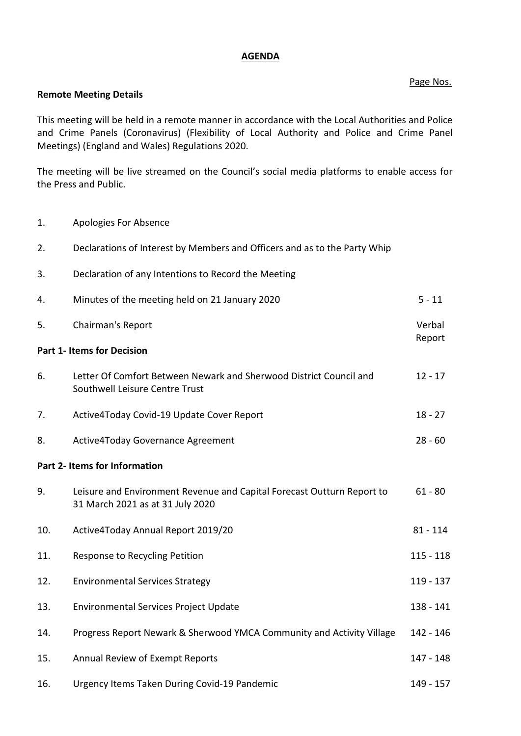### **AGENDA**

## Page Nos.

### **Remote Meeting Details**

This meeting will be held in a remote manner in accordance with the Local Authorities and Police and Crime Panels (Coronavirus) (Flexibility of Local Authority and Police and Crime Panel Meetings) (England and Wales) Regulations 2020.

The meeting will be live streamed on the Council's social media platforms to enable access for the Press and Public.

1. Apologies For Absence

| 2.  | Declarations of Interest by Members and Officers and as to the Party Whip                                  |             |
|-----|------------------------------------------------------------------------------------------------------------|-------------|
| 3.  | Declaration of any Intentions to Record the Meeting                                                        |             |
| 4.  | Minutes of the meeting held on 21 January 2020                                                             | $5 - 11$    |
| 5.  | Chairman's Report                                                                                          |             |
|     | <b>Part 1- Items for Decision</b>                                                                          | Report      |
| 6.  | Letter Of Comfort Between Newark and Sherwood District Council and<br>Southwell Leisure Centre Trust       | $12 - 17$   |
| 7.  | Active4Today Covid-19 Update Cover Report                                                                  | $18 - 27$   |
| 8.  | Active4Today Governance Agreement                                                                          | $28 - 60$   |
|     | Part 2- Items for Information                                                                              |             |
| 9.  | Leisure and Environment Revenue and Capital Forecast Outturn Report to<br>31 March 2021 as at 31 July 2020 | $61 - 80$   |
| 10. | Active4Today Annual Report 2019/20                                                                         | $81 - 114$  |
| 11. | Response to Recycling Petition                                                                             | $115 - 118$ |
| 12. | <b>Environmental Services Strategy</b>                                                                     | 119 - 137   |
| 13. | <b>Environmental Services Project Update</b>                                                               | 138 - 141   |
| 14. | Progress Report Newark & Sherwood YMCA Community and Activity Village                                      | 142 - 146   |
| 15. | Annual Review of Exempt Reports                                                                            | 147 - 148   |
| 16. | Urgency Items Taken During Covid-19 Pandemic                                                               | 149 - 157   |